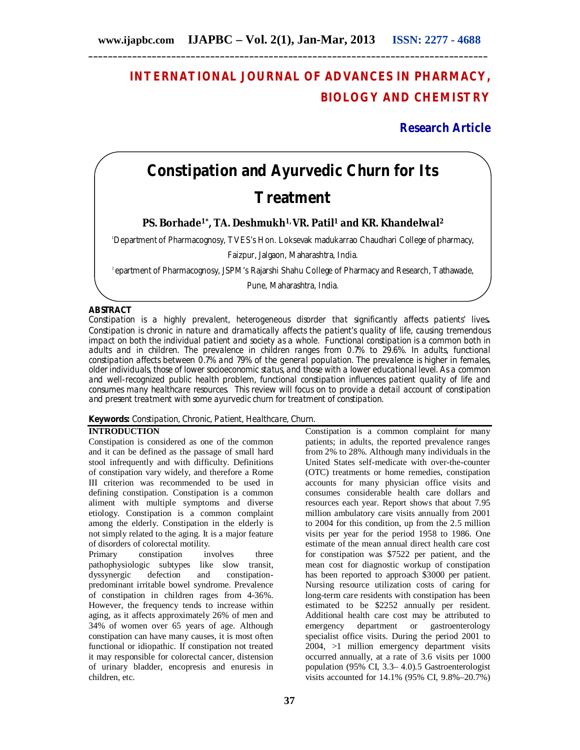## **INTERNATIONAL JOURNAL OF ADVANCES IN PHARMACY, BIOLOGY AND CHEMISTRY**

### **Research Article**

# **Constipation and Ayurvedic Churn for Its Treatment**

**PS. Borhade1\*, TA. Deshmukh1, VR. Patil<sup>1</sup> and KR. Khandelwal<sup>2</sup>**

<sup>1</sup>Department of Pharmacognosy, TVES's Hon. Loksevak madukarrao Chaudhari College of pharmacy,

Faizpur, Jalgaon, Maharashtra, India.

<sup>2</sup>epartment of Pharmacognosy, JSPM's Rajarshi Shahu College of Pharmacy and Research, Tathawade,

Pune, Maharashtra, India.

#### **ABSTRACT**

Constipation is a highly prevalent, heterogeneous disorder that significantly affects patients' lives**.**  Constipation is chronic in nature and dramatically affects the patient's quality of life, causing tremendous impact on both the individual patient and society as a whole. Functional constipation is a common both in adults and in children. The prevalence in children ranges from 0.7% to 29.6%. In adults, functional constipation affects between 0.7% and 79% of the general population. The prevalence is higher in females, older individuals, those of lower socioeconomic status, and those with a lower educational level. As a common and well-recognized public health problem, functional constipation influences patient quality of life and consumes many healthcare resources. This review will focus on to provide a detail account of constipation and present treatment with some ayurvedic churn for treatment of constipation.

#### **Keywords:** Constipation, Chronic, Patient, Healthcare, Churn.

#### **INTRODUCTION**

Constipation is considered as one of the common and it can be defined as the passage of small hard stool infrequently and with difficulty. Definitions of constipation vary widely, and therefore a Rome III criterion was recommended to be used in defining constipation. Constipation is a common aliment with multiple symptoms and diverse etiology. Constipation is a common complaint among the elderly. Constipation in the elderly is not simply related to the aging. It is a major feature of disorders of colorectal motility.

Primary constipation involves three pathophysiologic subtypes like slow transit, dyssynergic defection and constipationpredominant irritable bowel syndrome. Prevalence of constipation in children rages from 4-36%. However, the frequency tends to increase within aging, as it affects approximately 26% of men and 34% of women over 65 years of age. Although constipation can have many causes, it is most often functional or idiopathic. If constipation not treated it may responsible for colorectal cancer, distension of urinary bladder, encopresis and enuresis in children, etc.

**37**

Constipation is a common complaint for many patients; in adults, the reported prevalence ranges from 2% to 28%. Although many individuals in the United States self-medicate with over-the-counter (OTC) treatments or home remedies, constipation accounts for many physician office visits and consumes considerable health care dollars and resources each year. Report shows that about 7.95 million ambulatory care visits annually from 2001 to 2004 for this condition, up from the 2.5 million visits per year for the period 1958 to 1986. One estimate of the mean annual direct health care cost for constipation was \$7522 per patient, and the mean cost for diagnostic workup of constipation has been reported to approach \$3000 per patient. Nursing resource utilization costs of caring for long-term care residents with constipation has been estimated to be \$2252 annually per resident. Additional health care cost may be attributed to emergency department or gastroenterology specialist office visits. During the period 2001 to 2004, >1 million emergency department visits occurred annually, at a rate of 3.6 visits per 1000 population (95% CI, 3.3– 4.0).5 Gastroenterologist visits accounted for 14.1% (95% CI, 9.8%–20.7%)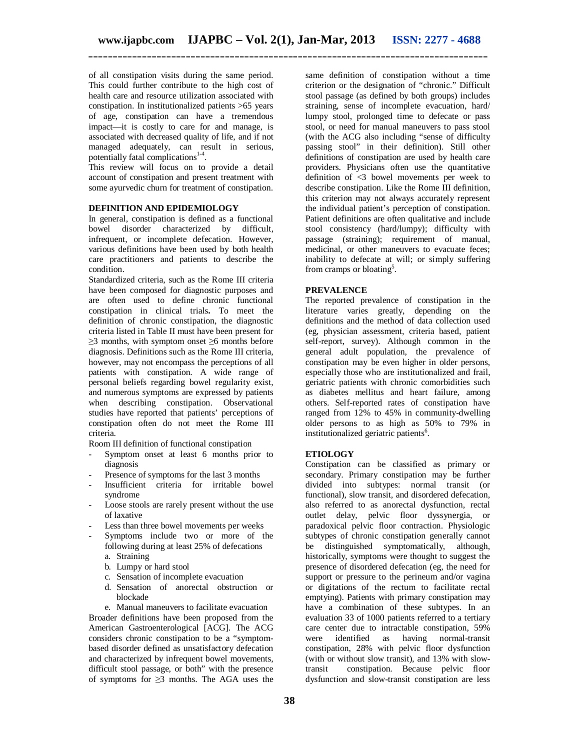of all constipation visits during the same period. This could further contribute to the high cost of health care and resource utilization associated with constipation. In institutionalized patients >65 years of age, constipation can have a tremendous impact—it is costly to care for and manage, is associated with decreased quality of life, and if not managed adequately, can result in serious, potentially fatal complications<sup>1-4</sup>.

This review will focus on to provide a detail account of constipation and present treatment with some ayurvedic churn for treatment of constipation.

#### **DEFINITION AND EPIDEMIOLOGY**

In general, constipation is defined as a functional bowel disorder characterized by difficult, infrequent, or incomplete defecation. However, various definitions have been used by both health care practitioners and patients to describe the condition.

Standardized criteria, such as the Rome III criteria have been composed for diagnostic purposes and are often used to define chronic functional constipation in clinical trials**.** To meet the definition of chronic constipation, the diagnostic criteria listed in Table II must have been present for  $\geq$ 3 months, with symptom onset  $\geq$ 6 months before diagnosis. Definitions such as the Rome III criteria, however, may not encompass the perceptions of all patients with constipation. A wide range of personal beliefs regarding bowel regularity exist, and numerous symptoms are expressed by patients when describing constipation. Observational studies have reported that patients' perceptions of constipation often do not meet the Rome III criteria.

Room III definition of functional constipation

- Symptom onset at least 6 months prior to diagnosis
- Presence of symptoms for the last 3 months
- Insufficient criteria for irritable bowel syndrome
- Loose stools are rarely present without the use of laxative
- Less than three bowel movements per weeks
- Symptoms include two or more of the following during at least 25% of defecations a. Straining
	- b. Lumpy or hard stool
	- c. Sensation of incomplete evacuation
	- d. Sensation of anorectal obstruction or blockade

e. Manual maneuvers to facilitate evacuation Broader definitions have been proposed from the American Gastroenterological [ACG]. The ACG considers chronic constipation to be a "symptombased disorder defined as unsatisfactory defecation and characterized by infrequent bowel movements, difficult stool passage, or both" with the presence of symptoms for  $\geq 3$  months. The AGA uses the

same definition of constipation without a time criterion or the designation of "chronic." Difficult stool passage (as defined by both groups) includes straining, sense of incomplete evacuation, hard/ lumpy stool, prolonged time to defecate or pass stool, or need for manual maneuvers to pass stool (with the ACG also including "sense of difficulty passing stool" in their definition). Still other definitions of constipation are used by health care providers. Physicians often use the quantitative definition of <3 bowel movements per week to describe constipation. Like the Rome III definition, this criterion may not always accurately represent the individual patient's perception of constipation. Patient definitions are often qualitative and include stool consistency (hard/lumpy); difficulty with passage (straining); requirement of manual, medicinal, or other maneuvers to evacuate feces; inability to defecate at will; or simply suffering from cramps or bloating<sup>5</sup>.

#### **PREVALENCE**

The reported prevalence of constipation in the literature varies greatly, depending on the definitions and the method of data collection used (eg, physician assessment, criteria based, patient self-report, survey). Although common in the general adult population, the prevalence of constipation may be even higher in older persons, especially those who are institutionalized and frail, geriatric patients with chronic comorbidities such as diabetes mellitus and heart failure, among others. Self-reported rates of constipation have ranged from 12% to 45% in community-dwelling older persons to as high as 50% to 79% in institutionalized geriatric patients<sup>6</sup>.

#### **ETIOLOGY**

Constipation can be classified as primary or secondary. Primary constipation may be further divided into subtypes: normal transit (or functional), slow transit, and disordered defecation, also referred to as anorectal dysfunction, rectal outlet delay, pelvic floor dyssynergia, or paradoxical pelvic floor contraction. Physiologic subtypes of chronic constipation generally cannot be distinguished symptomatically, although, historically, symptoms were thought to suggest the presence of disordered defecation (eg, the need for support or pressure to the perineum and/or vagina or digitations of the rectum to facilitate rectal emptying). Patients with primary constipation may have a combination of these subtypes. In an evaluation 33 of 1000 patients referred to a tertiary care center due to intractable constipation, 59% were identified as having normal-transit constipation, 28% with pelvic floor dysfunction (with or without slow transit), and 13% with slowtransit constipation. Because pelvic floor dysfunction and slow-transit constipation are less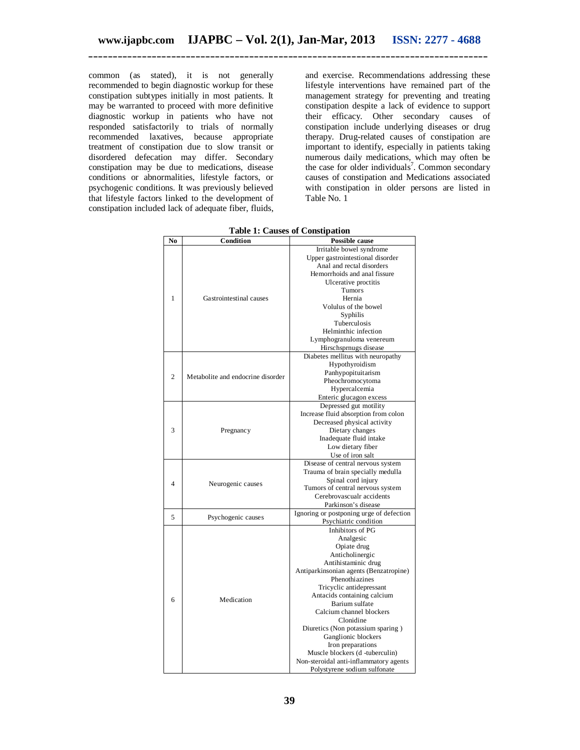common (as stated), it is not generally recommended to begin diagnostic workup for these constipation subtypes initially in most patients. It may be warranted to proceed with more definitive diagnostic workup in patients who have not responded satisfactorily to trials of normally recommended laxatives, because appropriate treatment of constipation due to slow transit or disordered defecation may differ. Secondary constipation may be due to medications, disease conditions or abnormalities, lifestyle factors, or psychogenic conditions. It was previously believed that lifestyle factors linked to the development of constipation included lack of adequate fiber, fluids,

and exercise. Recommendations addressing these lifestyle interventions have remained part of the management strategy for preventing and treating constipation despite a lack of evidence to support their efficacy. Other secondary causes of constipation include underlying diseases or drug therapy. Drug-related causes of constipation are important to identify, especially in patients taking numerous daily medications, which may often be the case for older individuals<sup>7</sup>. Common secondary causes of constipation and Medications associated with constipation in older persons are listed in Table No. 1

| No           | Condition                         | <b>Possible cause</b>                    |  |
|--------------|-----------------------------------|------------------------------------------|--|
|              |                                   | Irritable bowel syndrome                 |  |
|              |                                   | Upper gastrointestional disorder         |  |
|              |                                   | Anal and rectal disorders                |  |
|              |                                   | Hemorrhoids and anal fissure             |  |
|              |                                   | Ulcerative proctitis                     |  |
|              | Gastrointestinal causes           | Tumors                                   |  |
| $\mathbf{1}$ |                                   | Hernia                                   |  |
|              |                                   | Volulus of the bowel                     |  |
|              |                                   | Syphilis                                 |  |
|              |                                   | Tuberculosis                             |  |
|              |                                   | Helminthic infection                     |  |
|              |                                   | Lymphogranuloma venereum                 |  |
|              |                                   | Hirschsprnugs disease                    |  |
|              |                                   | Diabetes mellitus with neuropathy        |  |
|              |                                   | Hypothyroidism                           |  |
|              |                                   | Panhypopituitarism                       |  |
| 2            | Metabolite and endocrine disorder | Pheochromocytoma                         |  |
|              |                                   | Hypercalcemia                            |  |
|              |                                   | Enteric glucagon excess                  |  |
|              |                                   | Depressed gut motility                   |  |
|              |                                   | Increase fluid absorption from colon     |  |
|              |                                   | Decreased physical activity              |  |
| 3            | Pregnancy                         |                                          |  |
|              |                                   | Dietary changes                          |  |
|              |                                   | Inadequate fluid intake                  |  |
|              |                                   | Low dietary fiber                        |  |
|              |                                   | Use of iron salt                         |  |
|              |                                   | Disease of central nervous system        |  |
|              |                                   | Trauma of brain specially medulla        |  |
| 4            | Neurogenic causes                 | Spinal cord injury                       |  |
|              |                                   | Tumors of central nervous system         |  |
|              |                                   | Cerebrovascualr accidents                |  |
|              |                                   | Parkinson's disease                      |  |
| 5            | Psychogenic causes                | Ignoring or postponing urge of defection |  |
|              |                                   | Psychiatric condition                    |  |
|              | Medication                        | Inhibitors of PG                         |  |
|              |                                   | Analgesic                                |  |
|              |                                   | Opiate drug                              |  |
|              |                                   | Anticholinergic                          |  |
|              |                                   | Antihistaminic drug                      |  |
|              |                                   | Antiparkinsonian agents (Benzatropine)   |  |
|              |                                   | Phenothiazines                           |  |
|              |                                   | Tricyclic antidepressant                 |  |
|              |                                   | Antacids containing calcium              |  |
| 6            |                                   | Barium sulfate                           |  |
|              |                                   | Calcium channel blockers                 |  |
|              |                                   | Clonidine                                |  |
|              |                                   | Diuretics (Non potassium sparing)        |  |
|              |                                   | Ganglionic blockers                      |  |
|              |                                   | Iron preparations                        |  |
|              |                                   | Muscle blockers (d -tuberculin)          |  |
|              |                                   | Non-steroidal anti-inflammatory agents   |  |
|              |                                   | Polystyrene sodium sulfonate             |  |

**Table 1: Causes of Constipation**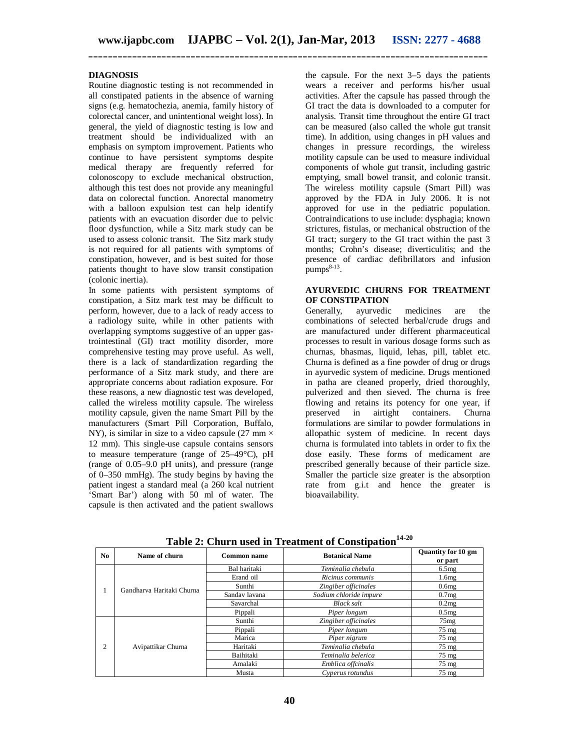#### **DIAGNOSIS**

Routine diagnostic testing is not recommended in all constipated patients in the absence of warning signs (e.g. hematochezia, anemia, family history of colorectal cancer, and unintentional weight loss). In general, the yield of diagnostic testing is low and treatment should be individualized with an emphasis on symptom improvement. Patients who continue to have persistent symptoms despite medical therapy are frequently referred for colonoscopy to exclude mechanical obstruction, although this test does not provide any meaningful data on colorectal function. Anorectal manometry with a balloon expulsion test can help identify patients with an evacuation disorder due to pelvic floor dysfunction, while a Sitz mark study can be used to assess colonic transit. The Sitz mark study is not required for all patients with symptoms of constipation, however, and is best suited for those patients thought to have slow transit constipation (colonic inertia).

In some patients with persistent symptoms of constipation, a Sitz mark test may be difficult to perform, however, due to a lack of ready access to a radiology suite, while in other patients with overlapping symptoms suggestive of an upper gastrointestinal (GI) tract motility disorder, more comprehensive testing may prove useful. As well, there is a lack of standardization regarding the performance of a Sitz mark study, and there are appropriate concerns about radiation exposure. For these reasons, a new diagnostic test was developed, called the wireless motility capsule. The wireless motility capsule, given the name Smart Pill by the manufacturers (Smart Pill Corporation, Buffalo, NY), is similar in size to a video capsule (27 mm  $\times$ 12 mm). This single-use capsule contains sensors to measure temperature (range of 25–49°C), pH (range of 0.05–9.0 pH units), and pressure (range of 0–350 mmHg). The study begins by having the patient ingest a standard meal (a 260 kcal nutrient 'Smart Bar') along with 50 ml of water. The capsule is then activated and the patient swallows

the capsule. For the next 3–5 days the patients wears a receiver and performs his/her usual activities. After the capsule has passed through the GI tract the data is downloaded to a computer for analysis. Transit time throughout the entire GI tract can be measured (also called the whole gut transit time). In addition, using changes in pH values and changes in pressure recordings, the wireless motility capsule can be used to measure individual components of whole gut transit, including gastric emptying, small bowel transit, and colonic transit. The wireless motility capsule (Smart Pill) was approved by the FDA in July 2006. It is not approved for use in the pediatric population. Contraindications to use include: dysphagia; known strictures, fistulas, or mechanical obstruction of the GI tract; surgery to the GI tract within the past 3 months; Crohn's disease; diverticulitis; and the presence of cardiac defibrillators and infusion  $pumps<sup>8-13</sup>$ .

#### **AYURVEDIC CHURNS FOR TREATMENT OF CONSTIPATION**

Generally, ayurvedic medicines are the combinations of selected herbal/crude drugs and are manufactured under different pharmaceutical processes to result in various dosage forms such as churnas, bhasmas, liquid, lehas, pill, tablet etc. Churna is defined as a fine powder of drug or drugs in ayurvedic system of medicine. Drugs mentioned in patha are cleaned properly, dried thoroughly, pulverized and then sieved. The churna is free flowing and retains its potency for one year, if<br>preserved in airtight containers. Churna airtight containers. Churna formulations are similar to powder formulations in allopathic system of medicine. In recent days churna is formulated into tablets in order to fix the dose easily. These forms of medicament are prescribed generally because of their particle size. Smaller the particle size greater is the absorption rate from g.i.t and hence the greater is bioavailability.

| No. | Name of churn             | Common name   | <b>Botanical Name</b>  | <b>Quantity for 10 gm</b><br>or part |
|-----|---------------------------|---------------|------------------------|--------------------------------------|
|     | Gandharya Haritaki Churna | Bal haritaki  | Teminalia chebula      | 6.5mg                                |
|     |                           | Erand oil     | Ricinus communis       | 1.6mg                                |
|     |                           | Sunthi        | Zingiber officinales   | 0.6 <sub>mg</sub>                    |
|     |                           | Sanday layana | Sodium chloride impure | 0.7mg                                |
|     |                           | Savarchal     | <b>Black salt</b>      | 0.2mg                                |
|     |                           | Pippali       | Piper longum           | 0.5mg                                |
| 2   | Avipattikar Churna        | Sunthi        | Zingiber officinales   | 75mg                                 |
|     |                           | Pippali       | Piper longum           | $75 \text{ mg}$                      |
|     |                           | Marica        | Piper nigrum           | $75 \text{ mg}$                      |
|     |                           | Haritaki      | Teminalia chebula      | $75 \text{ mg}$                      |
|     |                           | Baihitaki     | Teminalia belerica     | $75 \text{ mg}$                      |
|     |                           | Amalaki       | Emblica offcinalis     | $75 \text{ mg}$                      |
|     |                           | Musta         | Cyperus rotundus       | $75 \text{ mg}$                      |

**Table 2: Churn used in Treatment of Constipation14-20**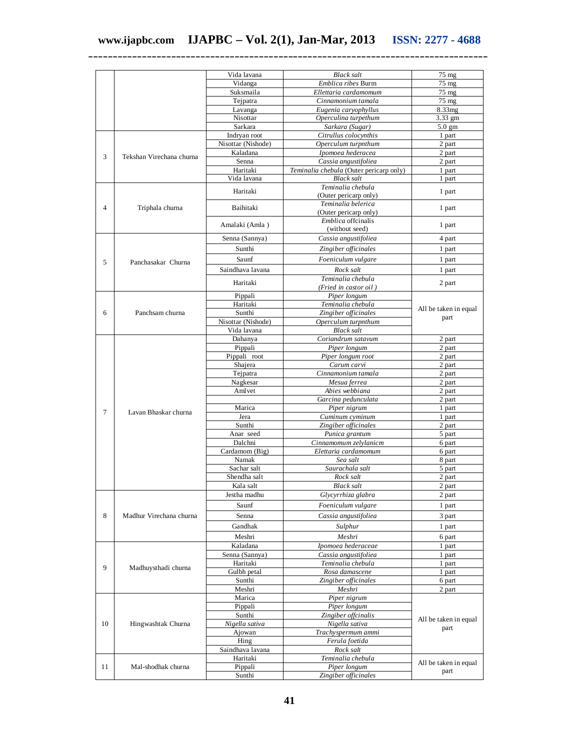|                |                          | Vida lavana                | <b>Black salt</b>                           | 75 mg                         |
|----------------|--------------------------|----------------------------|---------------------------------------------|-------------------------------|
|                |                          | Vidanga                    | Emblica ribes Burm                          | 75 mg                         |
|                |                          | Suksmaila                  | Ellettaria cardamomum                       | 75 mg                         |
|                |                          | Tejpatra                   | Cinnamonium tamala                          | $75 \text{ mg}$               |
|                |                          | Lavanga                    | Eugenia caryophyllus                        | 8.33mg                        |
|                |                          | Nisottar                   | Operculina turpethum                        | 3.33 gm                       |
|                |                          | Sarkara                    | Sarkara (Sugar)                             | $5.0 \text{ gm}$              |
|                |                          | Indryan root               | Citrullus colocynthis                       | 1 part                        |
|                |                          | Nisottar (Nishode)         | Operculum turpnthum                         | 2 part                        |
| 3              | Tekshan Virechana churna | Kaladana                   | Ipomoea hederacea                           | 2 part                        |
|                |                          | Senna                      | Cassia angustifoliea                        | 2 part                        |
|                |                          | Haritaki                   | Teminalia chebula (Outer pericarp only)     | 1 part                        |
|                |                          | Vida lavana                | <b>Black salt</b>                           | 1 part                        |
|                |                          | Haritaki                   | Teminalia chebula<br>(Outer pericarp only)  | 1 part                        |
| $\overline{4}$ | Triphala churna          | Baihitaki                  | Teminalia belerica<br>(Outer pericarp only) | 1 part                        |
|                |                          | Amalaki (Amla)             | <i>Emblica</i> offcinalis<br>(without seed) | 1 part                        |
|                |                          | Senna (Sannya)             | Cassia angustifoliea                        | 4 part                        |
|                |                          | Sunthi                     | Zingiber officinales                        | 1 part                        |
|                |                          | Saunf                      |                                             |                               |
| 5              | Panchasakar Churna       |                            | Foeniculum vulgare                          | 1 part                        |
|                |                          | Saindhava lavana           | Rock salt                                   | 1 part                        |
|                |                          | Haritaki                   | Teminalia chebula<br>(Fried in castor oil)  | 2 part                        |
|                |                          | Pippali                    | Piper longum                                |                               |
|                |                          | Haritaki                   | Teminalia chebula                           |                               |
| 6              | Panchsam churna          | Sunthi                     | Zingiber officinales                        | All be taken in equal         |
|                |                          | Nisottar (Nishode)         | Operculum turpnthum                         | part                          |
|                |                          | Vida lavana                | <b>Black salt</b>                           |                               |
|                |                          | Dahanya                    | Coriandrum satavum                          | 2 part                        |
|                |                          | Pippali                    | Piper longum                                | 2 part                        |
|                |                          | Pippali root               | Piper longum root                           | 2 part                        |
|                |                          | Shajera                    | Carum carvi                                 | 2 part                        |
|                | Lavan Bhaskar churna     | Tejpatra                   | Cinnamonium tamala                          | 2 part                        |
|                |                          | Nagkesar                   | Mesua ferrea                                | 2 part                        |
|                |                          | Aml vet                    | Abies webbiana                              | 2 part                        |
|                |                          |                            | Garcina pedunculata                         | 2 part                        |
| 7              |                          | Marica                     | Piper nigrum                                | 1 part                        |
|                |                          | Jera                       | Cuminum cyminum                             | 1 part                        |
|                |                          | Sunthi                     | Zingiber officinales                        | 2 part                        |
|                |                          | Anar seed                  | Punica grantum                              | 5 part                        |
|                |                          | Dalchni                    | Cinnamomum zelylanicm                       | 6 part                        |
|                |                          | Cardamom (Big)             | Elettaria cardamomum                        | 6 part                        |
|                |                          | Namak                      | Sea salt                                    | 8 part                        |
|                |                          | Sachar salt                | Saurachala salt                             | 5 part                        |
|                |                          | Shendha salt               | Rock salt                                   | 2 part                        |
|                |                          | Kala salt                  | <b>Black</b> salt                           | 2 part                        |
|                |                          | Jestha madhu               | Glycyrrhiza glabra                          | 2 part                        |
|                | Madhur Virechana churna  | Saunf                      | Foeniculum vulgare                          | 1 part                        |
| 8              |                          | Senna                      | Cassia angustifoliea                        | 3 part                        |
|                |                          | Gandhak                    | Sulphur                                     | 1 part                        |
|                |                          | Meshri                     | Meshri                                      |                               |
|                |                          |                            |                                             | 6 part                        |
|                |                          | Kaladana                   | Ipomoea hederaceae                          | 1 part                        |
|                | Madhuysthadi churna      | Senna (Sannya)<br>Haritaki | Cassia angustifoliea<br>Teminalia chebula   | 1 part                        |
| 9              |                          | Gulbh petal                | Rosa damascene                              | 1 part                        |
|                |                          | Sunthi                     | Zingiber officinales                        | 1 part                        |
|                |                          | Meshri                     | Meshri                                      | 6 part<br>2 part              |
|                |                          | Marica                     | Piper nigrum                                |                               |
|                |                          | Pippali                    | Piper longum                                |                               |
|                | Hingwashtak Churna       | Sunthi                     | Zingiber offcinalis                         | All be taken in equal<br>part |
| 10             |                          | Nigella sativa             | Nigella sativa                              |                               |
|                |                          | Ajowan                     | Trachyspermum ammi                          |                               |
|                |                          | Hing                       | Ferula foetida                              |                               |
|                |                          | Saindhava lavana           | Rock salt                                   |                               |
|                |                          | Haritaki                   | Teminalia chebula                           |                               |
| 11             | Mal-shodhak churna       | Pippali                    | Piper longum                                | All be taken in equal         |
|                |                          | Sunthi                     | Zingiber officinales                        | part                          |
|                |                          |                            |                                             |                               |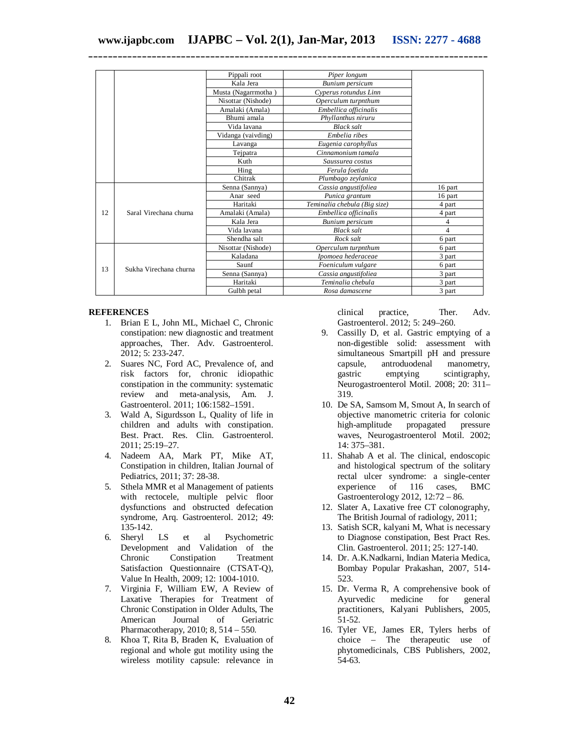|    |                        | Pippali root        | Piper longum                 |         |
|----|------------------------|---------------------|------------------------------|---------|
|    |                        | Kala Jera           | Bunium persicum              |         |
|    |                        | Musta (Nagarrmotha) | Cyperus rotundus Linn        |         |
|    |                        | Nisottar (Nishode)  | Operculum turpnthum          |         |
|    |                        | Amalaki (Amala)     | Embellica officinalis        |         |
|    |                        | Bhumi amala         | Phyllanthus niruru           |         |
|    |                        | Vida lavana         | <b>Black salt</b>            |         |
|    |                        | Vidanga (vaivding)  | Embelia ribes                |         |
|    |                        | Lavanga             | Eugenia carophyllus          |         |
|    |                        | Tejpatra            | Cinnamonium tamala           |         |
|    |                        | Kuth                | Saussurea costus             |         |
|    |                        | Hing                | Ferula foetida               |         |
|    |                        | Chitrak             | Plumbago zeylanica           |         |
|    | Saral Virechana churna | Senna (Sannya)      | Cassia angustifoliea         | 16 part |
|    |                        | Anar seed           | Punica grantum               | 16 part |
|    |                        | Haritaki            | Teminalia chebula (Big size) | 4 part  |
| 12 |                        | Amalaki (Amala)     | Embellica officinalis        | 4 part  |
|    |                        | Kala Jera           | Bunium persicum              | 4       |
|    |                        | Vida lavana         | <b>Black salt</b>            | 4       |
|    |                        | Shendha salt        | Rock salt                    | 6 part  |
|    | Sukha Virechana churna | Nisottar (Nishode)  | Operculum turpnthum          | 6 part  |
| 13 |                        | Kaladana            | Ipomoea hederaceae           | 3 part  |
|    |                        | Saunf               | Foeniculum vulgare           | 6 part  |
|    |                        | Senna (Sannya)      | Cassia angustifoliea         | 3 part  |
|    |                        | Haritaki            | Teminalia chebula            | 3 part  |
|    |                        | Gulbh petal         | Rosa damascene               | 3 part  |

#### **REFERENCES**

- 1. Brian E L, John ML, Michael C, Chronic constipation: new diagnostic and treatment approaches, Ther. Adv. Gastroenterol. 2012; 5: 233-247.
- 2. Suares NC, Ford AC, Prevalence of, and risk factors for, chronic idiopathic constipation in the community: systematic review and meta-analysis, Am. J. Gastroenterol. 2011; 106:1582–1591.
- 3. Wald A, Sigurdsson L, Quality of life in children and adults with constipation. Best. Pract. Res. Clin. Gastroenterol. 2011; 25:19–27.
- 4. Nadeem AA, Mark PT, Mike AT, Constipation in children, Italian Journal of Pediatrics, 2011; 37: 28-38.
- 5. Sthela MMR et al Management of patients with rectocele, multiple pelvic floor dysfunctions and obstructed defecation syndrome, Arq. Gastroenterol. 2012; 49: 135-142.
- 6. Sheryl LS et al Psychometric Development and Validation of the Chronic Constipation Treatment Satisfaction Questionnaire (CTSAT-Q), Value In Health, 2009; 12: 1004-1010.
- 7. Virginia F, William EW, A Review of Laxative Therapies for Treatment of Chronic Constipation in Older Adults, The American Journal of Geriatric Pharmacotherapy, 2010; 8, 514 – 550.
- 8. Khoa T, Rita B, Braden K, Evaluation of regional and whole gut motility using the wireless motility capsule: relevance in

clinical practice, Ther. Adv. Gastroenterol. 2012; 5: 249–260.

- 9. Cassilly D, et al. Gastric emptying of a non-digestible solid: assessment with simultaneous Smartpill pH and pressure capsule, antroduodenal manometry, gastric emptying scintigraphy, Neurogastroenterol Motil. 2008; 20: 311– 319.
- 10. De SA, Samsom M, Smout A, In search of objective manometric criteria for colonic high-amplitude propagated pressure waves, Neurogastroenterol Motil. 2002; 14: 375–381.
- 11. Shahab A et al. The clinical, endoscopic and histological spectrum of the solitary rectal ulcer syndrome: a single-center experience of 116 cases, BMC Gastroenterology 2012, 12:72 – 86.
- 12. Slater A, Laxative free CT colonography, The British Journal of radiology, 2011;
- 13. Satish SCR, kalyani M, What is necessary to Diagnose constipation, Best Pract Res. Clin. Gastroenterol. 2011; 25: 127-140.
- 14. Dr. A.K.Nadkarni, Indian Materia Medica, Bombay Popular Prakashan, 2007, 514- 523.
- 15. Dr. Verma R, A comprehensive book of Ayurvedic medicine for general practitioners, Kalyani Publishers, 2005, 51-52.
- 16. Tyler VE, James ER, Tylers herbs of choice – The therapeutic use of phytomedicinals, CBS Publishers, 2002, 54-63.